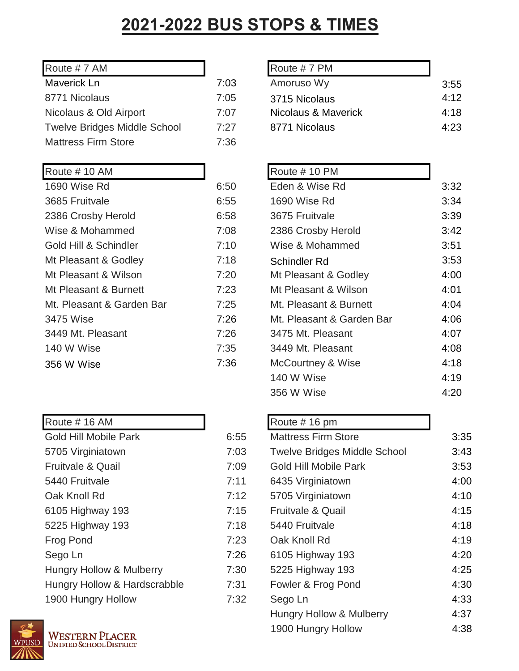## **2021-2022 BUS STOPS & TIMES**

| Route #7 AM                         |      | Route #7 PM   |
|-------------------------------------|------|---------------|
| Maverick Ln                         | 7:03 | Amoruso Wy    |
| 8771 Nicolaus                       | 7:05 | 3715 Nicolaus |
| Nicolaus & Old Airport              | 7:07 | Nicolaus & Ma |
| <b>Twelve Bridges Middle School</b> | 7:27 | 8771 Nicolaus |
| <b>Mattress Firm Store</b>          | 7:36 |               |
|                                     |      |               |

| Route #10 AM              |      | Route #10 PM    |
|---------------------------|------|-----------------|
| 1690 Wise Rd              | 6:50 | Eden & Wise R   |
| 3685 Fruitvale            | 6:55 | 1690 Wise Rd    |
| 2386 Crosby Herold        | 6:58 | 3675 Fruitvale  |
| Wise & Mohammed           | 7:08 | 2386 Crosby H   |
| Gold Hill & Schindler     | 7:10 | Wise & Moham    |
| Mt Pleasant & Godley      | 7:18 | Schindler Rd    |
| Mt Pleasant & Wilson      | 7:20 | Mt Pleasant &   |
| Mt Pleasant & Burnett     | 7:23 | Mt Pleasant & \ |
| Mt. Pleasant & Garden Bar | 7:25 | Mt. Pleasant &  |
| 3475 Wise                 | 7:26 | Mt. Pleasant &  |
| 3449 Mt. Pleasant         | 7:26 | 3475 Mt. Pleas  |
| 140 W Wise                | 7:35 | 3449 Mt. Pleas  |
| 356 W Wise                | 7:36 | McCourtney &    |

| Route #16 AM                        |      | Route #16 pm            |
|-------------------------------------|------|-------------------------|
| <b>Gold Hill Mobile Park</b>        | 6:55 | <b>Mattress Firm 9</b>  |
| 5705 Virginiatown                   | 7:03 | <b>Twelve Bridges</b>   |
| Fruitvale & Quail                   | 7:09 | <b>Gold Hill Mobile</b> |
| 5440 Fruitvale                      | 7:11 | 6435 Virginiato         |
| Oak Knoll Rd                        | 7:12 | 5705 Virginiato         |
| 6105 Highway 193                    | 7:15 | Fruitvale & Qua         |
| 5225 Highway 193                    | 7:18 | 5440 Fruitvale          |
| <b>Frog Pond</b>                    | 7:23 | Oak Knoll Rd            |
| Sego Ln                             | 7:26 | 6105 Highway            |
| <b>Hungry Hollow &amp; Mulberry</b> | 7:30 | 5225 Highway            |
| Hungry Hollow & Hardscrabble        | 7:31 | Fowler & Frog           |
| 1900 Hungry Hollow                  | 7:32 | Sego Ln                 |



| Route #7 AM                         |      | Route #7 PM         |      |
|-------------------------------------|------|---------------------|------|
| Maverick Ln                         | 7:03 | Amoruso Wy          | 3:55 |
| 8771 Nicolaus                       | 7:05 | 3715 Nicolaus       | 4:12 |
| Nicolaus & Old Airport              | 7:07 | Nicolaus & Maverick | 4:18 |
| <b>Twelve Bridges Middle School</b> | 7:27 | 8771 Nicolaus       | 4:23 |
|                                     |      |                     |      |

| Route #10 AM              |      | Route #10 PM              |      |
|---------------------------|------|---------------------------|------|
| 1690 Wise Rd              | 6:50 | Eden & Wise Rd            | 3:32 |
| 3685 Fruitvale            | 6:55 | 1690 Wise Rd              | 3:34 |
| 2386 Crosby Herold        | 6:58 | 3675 Fruitvale            | 3:39 |
| Wise & Mohammed           | 7:08 | 2386 Crosby Herold        | 3:42 |
| Gold Hill & Schindler     | 7:10 | Wise & Mohammed           | 3:51 |
| Mt Pleasant & Godley      | 7:18 | Schindler Rd              | 3:53 |
| Mt Pleasant & Wilson      | 7:20 | Mt Pleasant & Godley      | 4:00 |
| Mt Pleasant & Burnett     | 7:23 | Mt Pleasant & Wilson      | 4:01 |
| Mt. Pleasant & Garden Bar | 7:25 | Mt. Pleasant & Burnett    | 4:04 |
| 3475 Wise                 | 7:26 | Mt. Pleasant & Garden Bar | 4:06 |
| 3449 Mt. Pleasant         | 7:26 | 3475 Mt. Pleasant         | 4:07 |
| 140 W Wise                | 7:35 | 3449 Mt. Pleasant         | 4:08 |
| 356 W Wise                | 7:36 | McCourtney & Wise         | 4:18 |
|                           |      | 140 W Wise                | 4:19 |
|                           |      | 356 W Wise                | 4:20 |
|                           |      |                           |      |

|  | Route #16 pm |  |  |
|--|--------------|--|--|
|--|--------------|--|--|

| <b>Gold Hill Mobile Park</b>        | 6:55 | <b>Mattress Firm Store</b>          | 3:35 |
|-------------------------------------|------|-------------------------------------|------|
| 5705 Virginiatown                   | 7:03 | <b>Twelve Bridges Middle School</b> | 3:43 |
| <b>Fruitvale &amp; Quail</b>        | 7:09 | Gold Hill Mobile Park               | 3:53 |
| 5440 Fruitvale                      | 7:11 | 6435 Virginiatown                   | 4:00 |
| Oak Knoll Rd                        | 7:12 | 5705 Virginiatown                   | 4:10 |
| 6105 Highway 193                    | 7:15 | Fruitvale & Quail                   | 4:15 |
| 5225 Highway 193                    | 7:18 | 5440 Fruitvale                      | 4:18 |
| Frog Pond                           | 7:23 | Oak Knoll Rd                        | 4:19 |
| Sego Ln                             | 7:26 | 6105 Highway 193                    | 4:20 |
| <b>Hungry Hollow &amp; Mulberry</b> | 7:30 | 5225 Highway 193                    | 4:25 |
| Hungry Hollow & Hardscrabble        | 7:31 | Fowler & Frog Pond                  | 4:30 |
| 1900 Hungry Hollow                  | 7:32 | Sego Ln                             | 4:33 |
|                                     |      | Hungry Hollow & Mulberry            | 4:37 |
| $MT_$                               |      | 1900 Hungry Hollow                  | 4:38 |